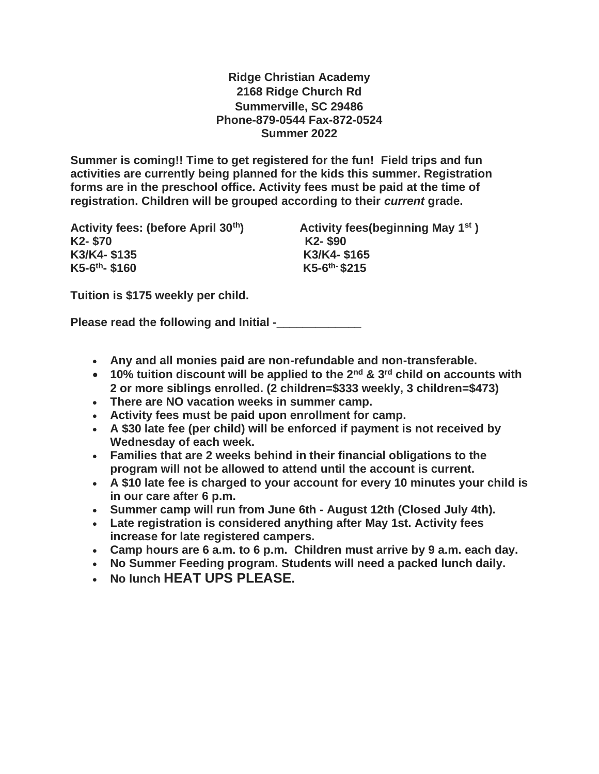**Ridge Christian Academy 2168 Ridge Church Rd Summerville, SC 29486 Phone-879-0544 Fax-872-0524 Summer 2022**

**Summer is coming!! Time to get registered for the fun! Field trips and fun activities are currently being planned for the kids this summer. Registration forms are in the preschool office. Activity fees must be paid at the time of registration. Children will be grouped according to their** *current* **grade.** 

**Activity fees: (before April 30th) Activity fees(beginning May 1st ) K2- \$70 K2- \$90 K3/K4- \$135 K3/K4- \$165 K5-6 th- \$160 K5-6**

**th- \$215**

**Tuition is \$175 weekly per child.**

**Please read the following and Initial -\_\_\_\_\_\_\_\_\_\_\_\_\_**

- **Any and all monies paid are non-refundable and non-transferable.**
- **10% tuition discount will be applied to the 2nd & 3rd child on accounts with 2 or more siblings enrolled. (2 children=\$333 weekly, 3 children=\$473)**
- **There are NO vacation weeks in summer camp.**
- **Activity fees must be paid upon enrollment for camp.**
- **A \$30 late fee (per child) will be enforced if payment is not received by Wednesday of each week.**
- **Families that are 2 weeks behind in their financial obligations to the program will not be allowed to attend until the account is current.**
- **A \$10 late fee is charged to your account for every 10 minutes your child is in our care after 6 p.m.**
- **Summer camp will run from June 6th - August 12th (Closed July 4th).**
- **Late registration is considered anything after May 1st. Activity fees increase for late registered campers.**
- **Camp hours are 6 a.m. to 6 p.m. Children must arrive by 9 a.m. each day.**
- **No Summer Feeding program. Students will need a packed lunch daily.**
- **No lunch HEAT UPS PLEASE.**